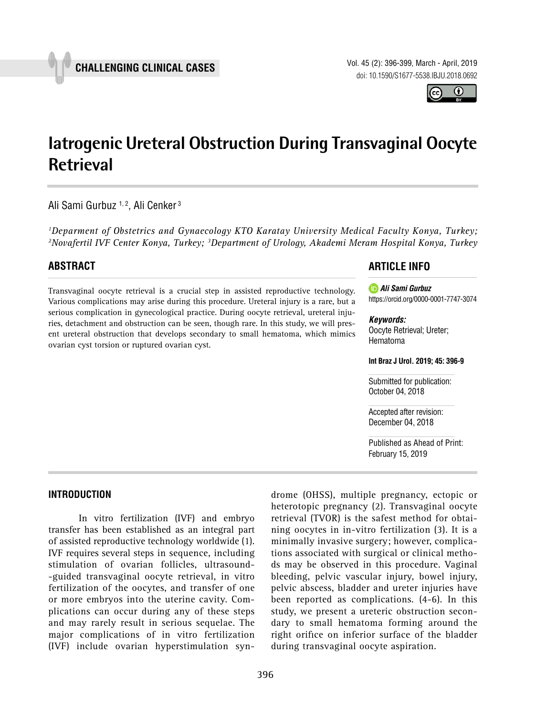

Vol. 45 (2): 396-399, March - April, 2019 doi: 10.1590/S1677-5538.IBJU.2018.0692



# **Iatrogenic Ureteral Obstruction During Transvaginal Oocyte Retrieval \_\_\_\_\_\_\_\_\_\_\_\_\_\_\_\_\_\_\_\_\_\_\_\_\_\_\_\_\_\_\_\_\_\_\_\_\_\_\_\_\_\_\_\_\_\_\_**

Ali Sami Gurbuz<sup>1, 2</sup>, Ali Cenker<sup>3</sup>

*1 Deparment of Obstetrics and Gynaecology KTO Karatay University Medical Faculty Konya, Turkey; 2 Novafertil IVF Center Konya, Turkey; 3Department of Urology, Akademi Meram Hospital Konya, Turkey*

# **ABSTRACT**

Transvaginal oocyte retrieval is a crucial step in assisted reproductive technology. Various complications may arise during this procedure. Ureteral injury is a rare, but a serious complication in gynecological practice. During oocyte retrieval, ureteral injuries, detachment and obstruction can be seen, though rare. In this study, we will present ureteral obstruction that develops secondary to small hematoma, which mimics ovarian cyst torsion or ruptured ovarian cyst.

## **ARTICLE INFO**

*Ali Sami Gurbuz* https://orcid.org/0000-0001-7747-3074

#### *Keywords:*

Oocyte Retrieval; Ureter; Hematoma

**Int Braz J Urol. 2019; 45: 396-9**

Submitted for publication: October 04, 2018

Accepted after revision: December 04, 2018

Published as Ahead of Print: February 15, 2019

#### **INTRODUCTION**

In vitro fertilization (IVF) and embryo transfer has been established as an integral part of assisted reproductive technology worldwide (1). IVF requires several steps in sequence, including stimulation of ovarian follicles, ultrasound- -guided transvaginal oocyte retrieval, in vitro fertilization of the oocytes, and transfer of one or more embryos into the uterine cavity. Complications can occur during any of these steps and may rarely result in serious sequelae. The major complications of in vitro fertilization (IVF) include ovarian hyperstimulation syndrome (OHSS), multiple pregnancy, ectopic or heterotopic pregnancy (2). Transvaginal oocyte retrieval (TVOR) is the safest method for obtaining oocytes in in-vitro fertilization (3). It is a minimally invasive surgery; however, complications associated with surgical or clinical methods may be observed in this procedure. Vaginal bleeding, pelvic vascular injury, bowel injury, pelvic abscess, bladder and ureter injuries have been reported as complications. (4-6). In this study, we present a ureteric obstruction secondary to small hematoma forming around the right orifice on inferior surface of the bladder during transvaginal oocyte aspiration.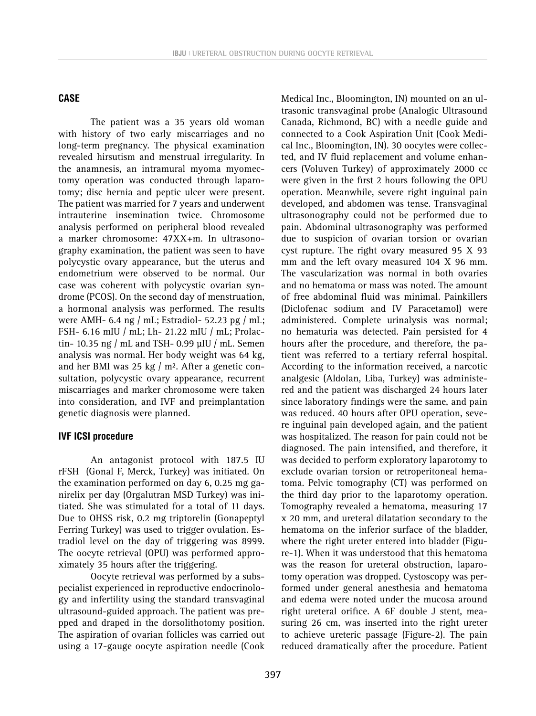#### **CASE**

The patient was a 35 years old woman with history of two early miscarriages and no long-term pregnancy. The physical examination revealed hirsutism and menstrual irregularity. In the anamnesis, an intramural myoma myomectomy operation was conducted through laparotomy; disc hernia and peptic ulcer were present. The patient was married for 7 years and underwent intrauterine insemination twice. Chromosome analysis performed on peripheral blood revealed a marker chromosome: 47XX+m. In ultrasonography examination, the patient was seen to have polycystic ovary appearance, but the uterus and endometrium were observed to be normal. Our case was coherent with polycystic ovarian syndrome (PCOS). On the second day of menstruation, a hormonal analysis was performed. The results were AMH- 6.4 ng / mL; Estradiol- 52.23 pg / mL; FSH- 6.16 mIU / mL; Lh- 21.22 mIU / mL; Prolactin- 10.35 ng / mL and TSH- 0.99 µIU / mL. Semen analysis was normal. Her body weight was 64 kg, and her BMI was 25 kg / m². After a genetic consultation, polycystic ovary appearance, recurrent miscarriages and marker chromosome were taken into consideration, and IVF and preimplantation genetic diagnosis were planned.

### **IVF ICSI procedure**

An antagonist protocol with 187.5 IU rFSH (Gonal F, Merck, Turkey) was initiated. On the examination performed on day 6, 0.25 mg ganirelix per day (Orgalutran MSD Turkey) was initiated. She was stimulated for a total of 11 days. Due to OHSS risk, 0.2 mg triptorelin (Gonapeptyl Ferring Turkey) was used to trigger ovulation. Estradiol level on the day of triggering was 8999. The oocyte retrieval (OPU) was performed approximately 35 hours after the triggering.

Oocyte retrieval was performed by a subspecialist experienced in reproductive endocrinology and infertility using the standard transvaginal ultrasound-guided approach. The patient was prepped and draped in the dorsolithotomy position. The aspiration of ovarian follicles was carried out using a 17-gauge oocyte aspiration needle (Cook Medical Inc., Bloomington, IN) mounted on an ultrasonic transvaginal probe (Analogic Ultrasound Canada, Richmond, BC) with a needle guide and connected to a Cook Aspiration Unit (Cook Medical Inc., Bloomington, IN). 30 oocytes were collected, and IV fluid replacement and volume enhancers (Voluven Turkey) of approximately 2000 cc were given in the first 2 hours following the OPU operation. Meanwhile, severe right inguinal pain developed, and abdomen was tense. Transvaginal ultrasonography could not be performed due to pain. Abdominal ultrasonography was performed due to suspicion of ovarian torsion or ovarian cyst rupture. The right ovary measured 95 X 93 mm and the left ovary measured 104 X 96 mm. The vascularization was normal in both ovaries and no hematoma or mass was noted. The amount of free abdominal fluid was minimal. Painkillers (Diclofenac sodium and IV Paracetamol) were administered. Complete urinalysis was normal; no hematuria was detected. Pain persisted for 4 hours after the procedure, and therefore, the patient was referred to a tertiary referral hospital. According to the information received, a narcotic analgesic (Aldolan, Liba, Turkey) was administered and the patient was discharged 24 hours later since laboratory findings were the same, and pain was reduced. 40 hours after OPU operation, severe inguinal pain developed again, and the patient was hospitalized. The reason for pain could not be diagnosed. The pain intensified, and therefore, it was decided to perform exploratory laparotomy to exclude ovarian torsion or retroperitoneal hematoma. Pelvic tomography (CT) was performed on the third day prior to the laparotomy operation. Tomography revealed a hematoma, measuring 17 x 20 mm, and ureteral dilatation secondary to the hematoma on the inferior surface of the bladder, where the right ureter entered into bladder (Figure-1). When it was understood that this hematoma was the reason for ureteral obstruction, laparotomy operation was dropped. Cystoscopy was performed under general anesthesia and hematoma and edema were noted under the mucosa around right ureteral orifice. A 6F double J stent, measuring 26 cm, was inserted into the right ureter to achieve ureteric passage (Figure-2). The pain reduced dramatically after the procedure. Patient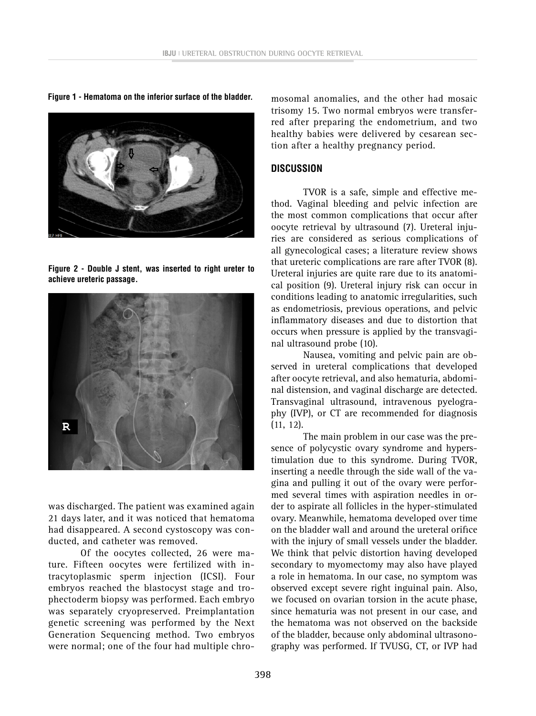**Figure 1 - Hematoma on the inferior surface of the bladder.** mosomal anomalies, and the other had mosaic



**Figure 2 - Double J stent, was inserted to right ureter to achieve ureteric passage.**



was discharged. The patient was examined again 21 days later, and it was noticed that hematoma had disappeared. A second cystoscopy was conducted, and catheter was removed.

Of the oocytes collected, 26 were mature. Fifteen oocytes were fertilized with intracytoplasmic sperm injection (ICSI). Four embryos reached the blastocyst stage and trophectoderm biopsy was performed. Each embryo was separately cryopreserved. Preimplantation genetic screening was performed by the Next Generation Sequencing method. Two embryos were normal; one of the four had multiple chrotrisomy 15. Two normal embryos were transferred after preparing the endometrium, and two healthy babies were delivered by cesarean section after a healthy pregnancy period.

#### **DISCUSSION**

TVOR is a safe, simple and effective method. Vaginal bleeding and pelvic infection are the most common complications that occur after oocyte retrieval by ultrasound (7). Ureteral injuries are considered as serious complications of all gynecological cases; a literature review shows that ureteric complications are rare after TVOR (8). Ureteral injuries are quite rare due to its anatomical position (9). Ureteral injury risk can occur in conditions leading to anatomic irregularities, such as endometriosis, previous operations, and pelvic inflammatory diseases and due to distortion that occurs when pressure is applied by the transvaginal ultrasound probe (10).

Nausea, vomiting and pelvic pain are observed in ureteral complications that developed after oocyte retrieval, and also hematuria, abdominal distension, and vaginal discharge are detected. Transvaginal ultrasound, intravenous pyelography (IVP), or CT are recommended for diagnosis (11, 12).

The main problem in our case was the presence of polycystic ovary syndrome and hyperstimulation due to this syndrome. During TVOR, inserting a needle through the side wall of the vagina and pulling it out of the ovary were performed several times with aspiration needles in order to aspirate all follicles in the hyper-stimulated ovary. Meanwhile, hematoma developed over time on the bladder wall and around the ureteral orifice with the injury of small vessels under the bladder. We think that pelvic distortion having developed secondary to myomectomy may also have played a role in hematoma. In our case, no symptom was observed except severe right inguinal pain. Also, we focused on ovarian torsion in the acute phase, since hematuria was not present in our case, and the hematoma was not observed on the backside of the bladder, because only abdominal ultrasonography was performed. If TVUSG, CT, or IVP had